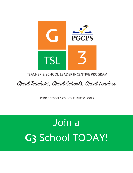

## **TEACHER & SCHOOL LEADER INCENTIVE PROGRAM**

Great Teachers, Great Schools, Great Leaders.

PRINCE GEORGE'S COUNTY PUBLIC SCHOOLS

# Join a G3 School TODAY!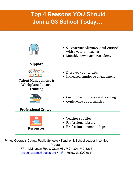# **Top 4 Reasons** *YOU* **Should Join a G3 School Today…**



- One-on-one job-embedded support with a veteran teacher
- Monthly new teacher academy

### **Support**



**Talent Management & Workplace Culture Training**

- Discover your talents
- Increased employee engagement
- Customized professional learning
- Conference opportunities

**Professional Growth**



- Teacher supplies
- Professional library
- Professional memberships

Prince George's County Public Schools • Teacher & School Leader Incentive Program 7711 Livingston Road, Oxon Hill, MD • 301-749-5238 [ohsdc.tslgrant@pgcps.org](mailto:ohsdc.tslgrant@pgcps.org) • Follow us @G3tslP